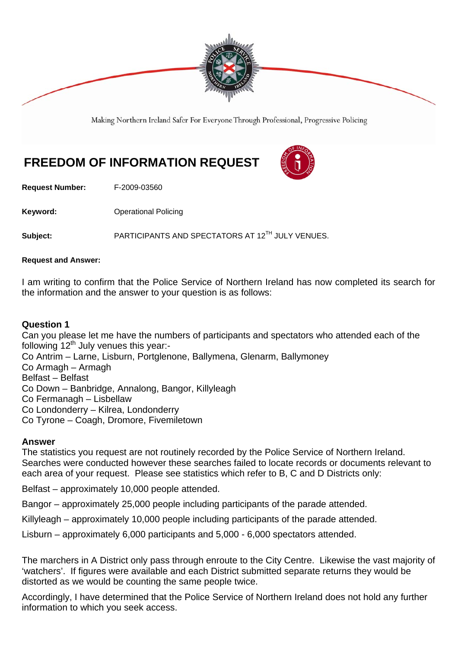

Making Northern Ireland Safer For Everyone Through Professional, Progressive Policing

## **FREEDOM OF INFORMATION REQUEST**



**Request Number:** F-2009-03560

**Keyword: C**Derational Policing

Subject: PARTICIPANTS AND SPECTATORS AT 12<sup>TH</sup> JULY VENUES.

## **Request and Answer:**

I am writing to confirm that the Police Service of Northern Ireland has now completed its search for the information and the answer to your question is as follows:

## **Question 1**

Can you please let me have the numbers of participants and spectators who attended each of the following  $12<sup>th</sup>$  July venues this year:-Co Antrim – Larne, Lisburn, Portglenone, Ballymena, Glenarm, Ballymoney Co Armagh – Armagh Belfast – Belfast Co Down – Banbridge, Annalong, Bangor, Killyleagh Co Fermanagh – Lisbellaw Co Londonderry – Kilrea, Londonderry Co Tyrone – Coagh, Dromore, Fivemiletown

## **Answer**

The statistics you request are not routinely recorded by the Police Service of Northern Ireland. Searches were conducted however these searches failed to locate records or documents relevant to each area of your request. Please see statistics which refer to B, C and D Districts only:

Belfast – approximately 10,000 people attended.

Bangor – approximately 25,000 people including participants of the parade attended.

Killyleagh – approximately 10,000 people including participants of the parade attended.

Lisburn – approximately 6,000 participants and 5,000 - 6,000 spectators attended.

The marchers in A District only pass through enroute to the City Centre. Likewise the vast majority of 'watchers'. If figures were available and each District submitted separate returns they would be distorted as we would be counting the same people twice.

Accordingly, I have determined that the Police Service of Northern Ireland does not hold any further information to which you seek access.